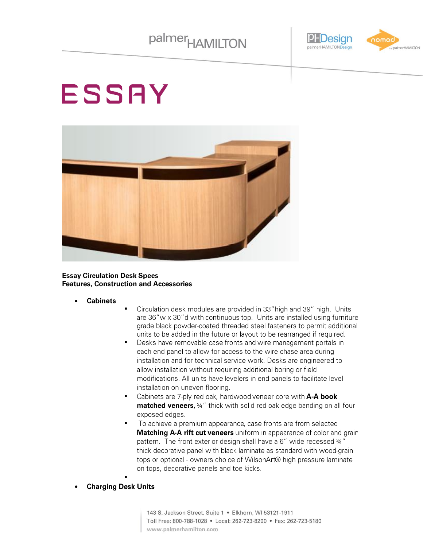

# **ESSAY**



#### **Essay Circulation Desk Specs Features, Construction and Accessories**

- **Cabinets**
- Circulation desk modules are provided in 33" high and 39" high. Units are 36"w x 30"d with continuous top. Units are installed using furniture grade black powder-coated threaded steel fasteners to permit additional units to be added in the future or layout to be rearranged if required.
- Desks have removable case fronts and wire management portals in each end panel to allow for access to the wire chase area during installation and for technical service work. Desks are engineered to allow installation without requiring additional boring or field modifications. All units have levelers in end panels to facilitate level installation on uneven flooring.
- Cabinets are 7-ply red oak, hardwood veneer core with A-A book matched veneers, 34" thick with solid red oak edge banding on all four exposed edges.
- To achieve a premium appearance, case fronts are from selected  $\blacksquare$ Matching A-A rift cut veneers uniform in appearance of color and grain pattern. The front exterior design shall have a 6" wide recessed 34" thick decorative panel with black laminate as standard with wood-grain tops or optional - owners choice of WilsonArt® high pressure laminate on tops, decorative panels and toe kicks.
- **Charging Desk Units**

143 S. Jackson Street, Suite 1 · Elkhorn, WI 53121-1911 Toll Free: 800-788-1028 · Local: 262-723-8200 · Fax: 262-723-5180 www.palmerhamilton.com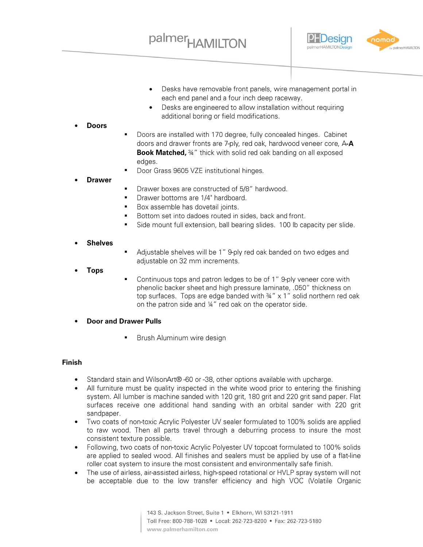

- Desks have removable front panels, wire management portal in  $\bullet$ each end panel and a four inch deep raceway.
- Desks are engineered to allow installation without requiring  $\bullet$ additional boring or field modifications.

#### **Doors**

- Doors are installed with 170 degree, fully concealed hinges. Cabinet doors and drawer fronts are 7-ply, red oak, hardwood veneer core, A-A **Book Matched,** 34" thick with solid red oak banding on all exposed edges.
- Door Grass 9605 VZE institutional hinges.

#### **Drawer**

- Drawer boxes are constructed of 5/8" hardwood.
- Drawer bottoms are 1/4" hardboard.
- Box assemble has dovetail joints.
- Bottom set into dadoes routed in sides, back and front.
- Side mount full extension, ball bearing slides. 100 lb capacity per slide.

#### **Shelves**

Adjustable shelves will be 1" 9-ply red oak banded on two edges and adjustable on 32 mm increments.

#### **Tops**

- Continuous tops and patron ledges to be of 1" 9-ply veneer core with phenolic backer sheet and high pressure laminate, .050" thickness on top surfaces. Tops are edge banded with 34" x 1" solid northern red oak on the patron side and 14" red oak on the operator side.
- **Door and Drawer Pulls** 
	- Brush Aluminum wire design

#### **Finish**

- Standard stain and WilsonArt® -60 or -38, other options available with upcharge.  $\bullet$
- All furniture must be quality inspected in the white wood prior to entering the finishing system. All lumber is machine sanded with 120 grit, 180 grit and 220 grit sand paper. Flat surfaces receive one additional hand sanding with an orbital sander with 220 grit sandpaper.
- Two coats of non-toxic Acrylic Polyester UV sealer formulated to 100% solids are applied to raw wood. Then all parts travel through a deburring process to insure the most consistent texture possible.
- Following, two coats of non-toxic Acrylic Polyester UV topcoat formulated to 100% solids are applied to sealed wood. All finishes and sealers must be applied by use of a flat-line roller coat system to insure the most consistent and environmentally safe finish.
- The use of airless, air-assisted airless, high-speed rotational or HVLP spray system will not be acceptable due to the low transfer efficiency and high VOC (Volatile Organic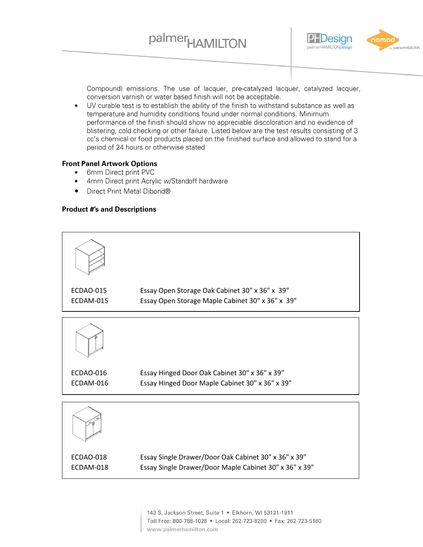

Compound) emissions. The use of lacquer, pre-catalyzed lacquer, catalyzed lacquer, conversion varnish or water based finish will not be acceptable.

 $\bullet$ UV curable test is to establish the ability of the finish to withstand substance as well as temperature and humidity conditions found under normal conditions. Minimum performance of the finish should show no appreciable discoloration and no evidence of blistering, cold checking or other failure. Listed below are the test results consisting of 3 cc's chemical or food products placed on the finished surface and allowed to stand for a period of 24 hours or otherwise stated

#### **Front Panel Artwork Options**

- 6mm Direct print PVC  $\bullet$
- 4mm Direct print Acrylic w/Standoff hardware  $\bullet$
- Direct Print Metal Dibond®  $\bullet$

#### **Product #'s and Descriptions**

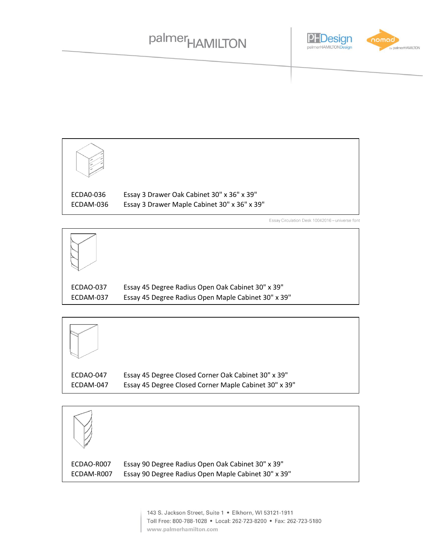### palmer<sub>HAMILTON</sub>





Essay Circulation Desk 10042016 - universe font



ECDAO-037 Essay 45 Degree Radius Open Oak Cabinet 30" x 39" ECDAM-037 Essay 45 Degree Radius Open Maple Cabinet 30" x 39"



 $ECDAO$ 6 Essay 3 Drawer Maple Cabinet 30" x 36" x 39" ECDAO-047 Essay 45 Degree Closed Corner Oak Cabinet 30" x 39" ECDAM-047 Essay 45 Degree Closed Corner Maple Cabinet 30" x 39"



ECDAO-R007 Essay 90 Degree Radius Open Oak Cabinet 30" x 39" ECDAM-R007 Essay 90 Degree Radius Open Maple Cabinet 30" x 39"

> Toll Free: 800-788-1028 · Local: 262-723-8200 · Fax: 262-723-5180 www.palmerhamilton.com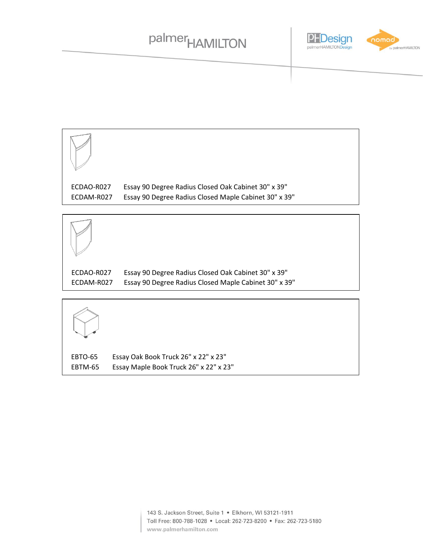### palmer<sub>HAMILTON</sub>





ECDAO-R027 Essay 90 Degree Radius Closed Oak Cabinet 30" x 39" ECDAM-R027 Essay 90 Degree Radius Closed Maple Cabinet 30" x 39"



EBTO-65 Essay Oak Book Truck 26" x 22" x 23" EBTM-65 Essay Maple Book Truck 26" x 22" x 23"